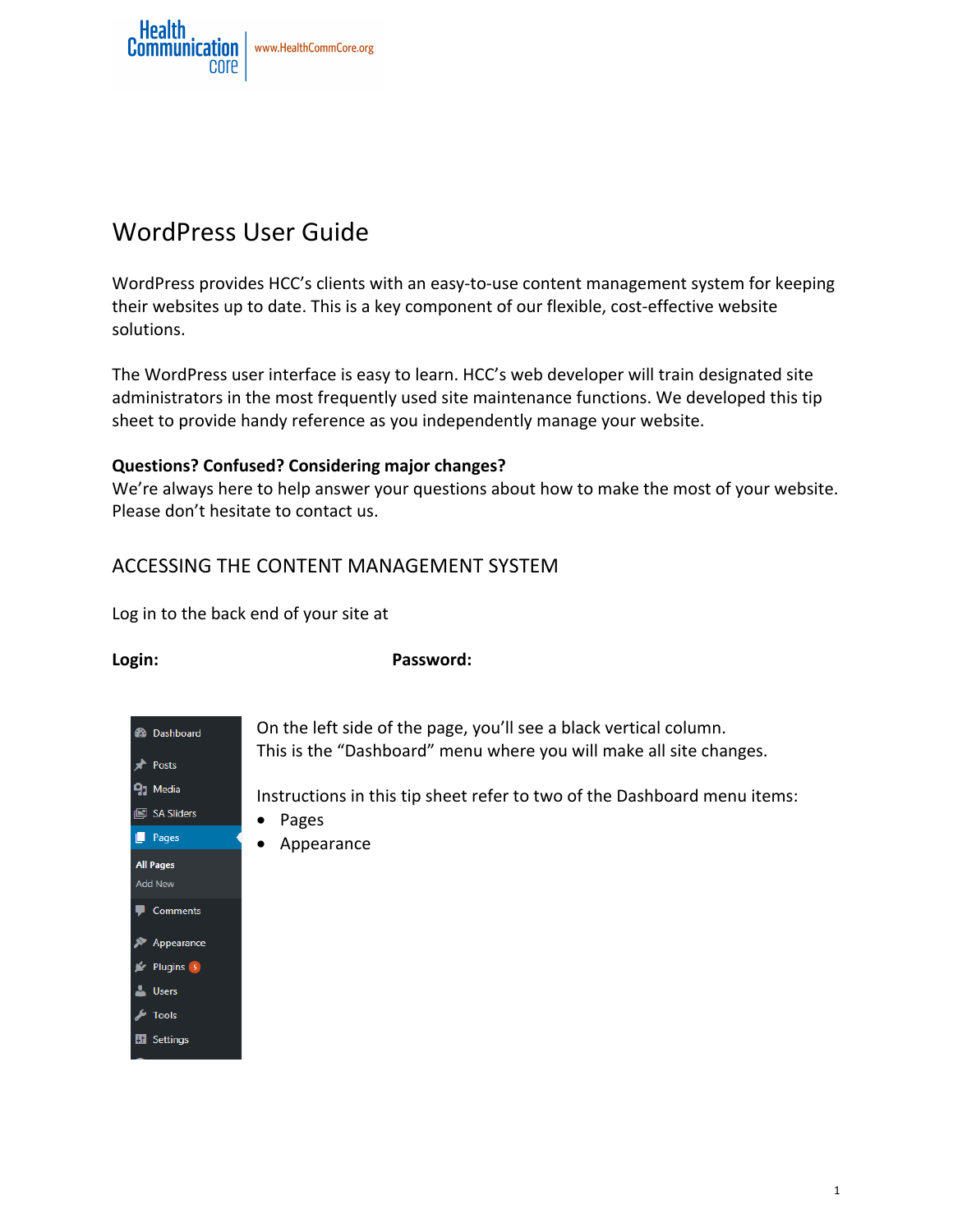

# WordPress User Guide

WordPress provides HCC's clients with an easy-to-use content management system for keeping their websites up to date. This is a key component of our flexible, cost-effective website solutions. 

The WordPress user interface is easy to learn. HCC's web developer will train designated site administrators in the most frequently used site maintenance functions. We developed this tip sheet to provide handy reference as you independently manage your website.

#### **Questions? Confused? Considering major changes?**

We're always here to help answer your questions about how to make the most of your website. Please don't hesitate to contact us.

# ACCESSING THE CONTENT MANAGEMENT SYSTEM

Log in to the back end of your site at

Login: **Password:** 



On the left side of the page, you'll see a black vertical column. This is the "Dashboard" menu where you will make all site changes.

Instructions in this tip sheet refer to two of the Dashboard menu items:

- Pages
- Appearance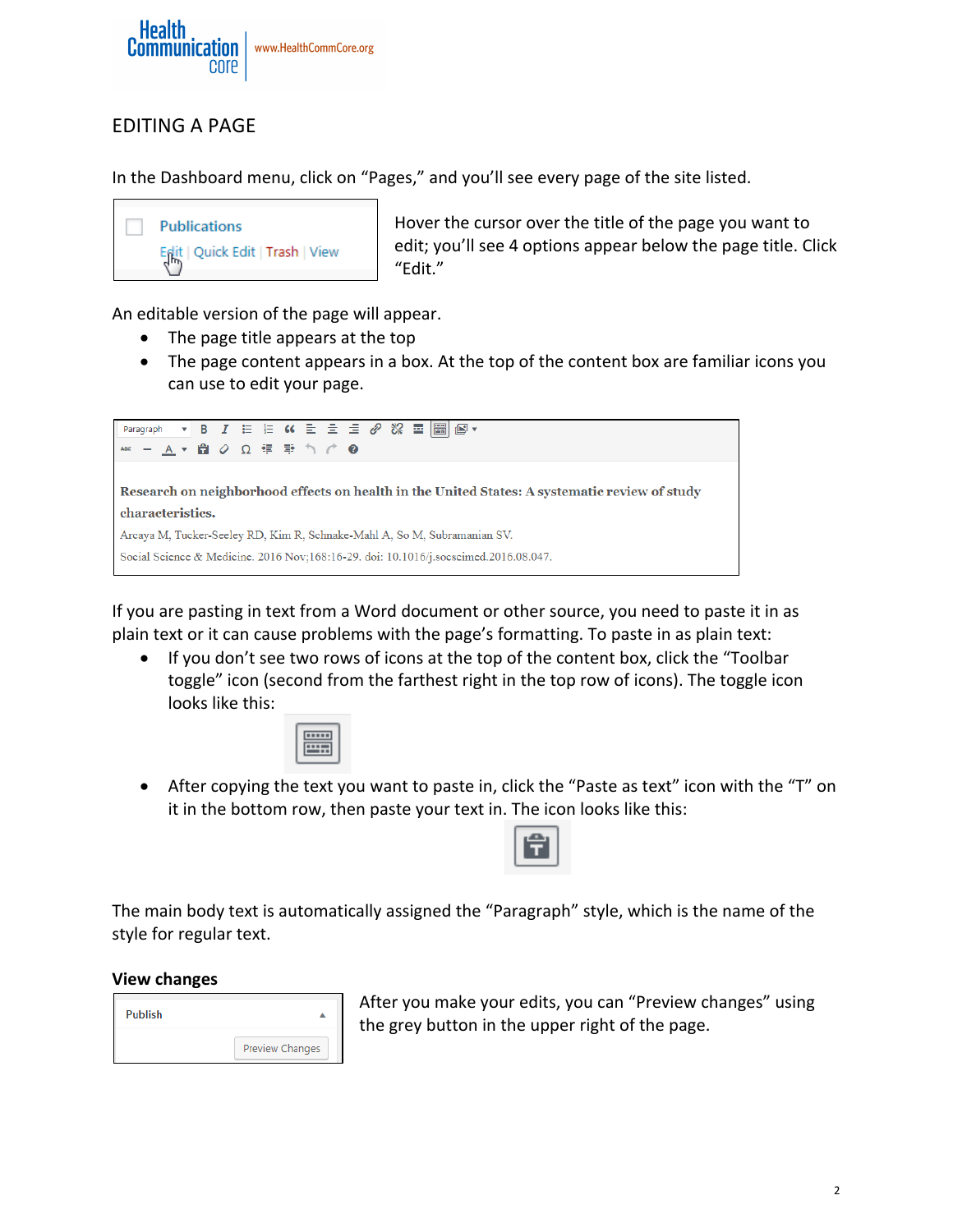

# EDITING A PAGE

In the Dashboard menu, click on "Pages," and you'll see every page of the site listed.



Hover the cursor over the title of the page you want to edit; you'll see 4 options appear below the page title. Click "Edit."

An editable version of the page will appear.

- $\bullet$  The page title appears at the top
- The page content appears in a box. At the top of the content box are familiar icons you can use to edit your page.

Paragraph \*\* - A ▼ 自 ⊘ Ω 隼 垂 う ♂  $\boldsymbol{c}$ Research on neighborhood effects on health in the United States: A systematic review of study characteristics. Arcaya M, Tucker-Seeley RD, Kim R, Schnake-Mahl A, So M, Subramanian SV. Social Science & Medicine. 2016 Nov;168:16-29. doi: 10.1016/j.socscimed.2016.08.047.

If you are pasting in text from a Word document or other source, you need to paste it in as plain text or it can cause problems with the page's formatting. To paste in as plain text:

• If you don't see two rows of icons at the top of the content box, click the "Toolbar toggle" icon (second from the farthest right in the top row of icons). The toggle icon looks like this:



• After copying the text you want to paste in, click the "Paste as text" icon with the "T" on it in the bottom row, then paste your text in. The icon looks like this:



The main body text is automatically assigned the "Paragraph" style, which is the name of the style for regular text.

#### **View changes**

| Publish |                 |
|---------|-----------------|
|         | Preview Changes |

After you make your edits, you can "Preview changes" using the grey button in the upper right of the page.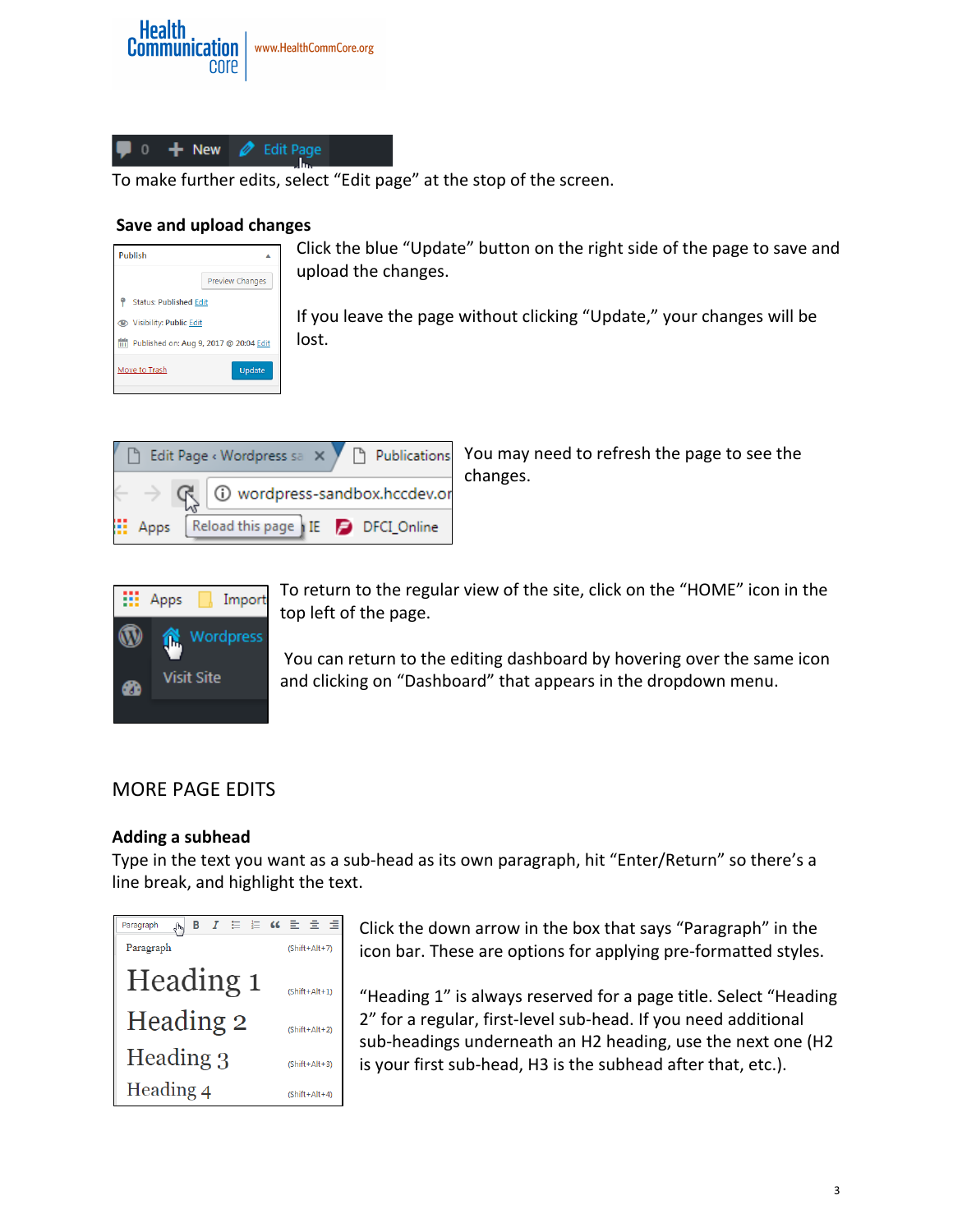



To make further edits, select "Edit page" at the stop of the screen.

#### **Save and upload changes**

| <b>Publish</b>                |                                        |
|-------------------------------|----------------------------------------|
|                               | <b>Preview Changes</b>                 |
| <b>Status: Published Edit</b> |                                        |
| Visibility: Public Edit       |                                        |
| m                             | Published on: Aug 9, 2017 @ 20:04 Edit |
| Move to Trash                 | Update                                 |

Click the blue "Update" button on the right side of the page to save and upload the changes.

If you leave the page without clicking "Update," your changes will be lost.



You may need to refresh the page to see the changes.



To return to the regular view of the site, click on the "HOME" icon in the top left of the page.

You can return to the editing dashboard by hovering over the same icon and clicking on "Dashboard" that appears in the dropdown menu.

# MORE PAGE EDITS

#### **Adding a subhead**

Type in the text you want as a sub-head as its own paragraph, hit "Enter/Return" so there's a line break, and highlight the text.



Click the down arrow in the box that says "Paragraph" in the icon bar. These are options for applying pre-formatted styles.

"Heading 1" is always reserved for a page title. Select "Heading 2" for a regular, first-level sub-head. If you need additional sub-headings underneath an H2 heading, use the next one (H2 is your first sub-head, H3 is the subhead after that, etc.).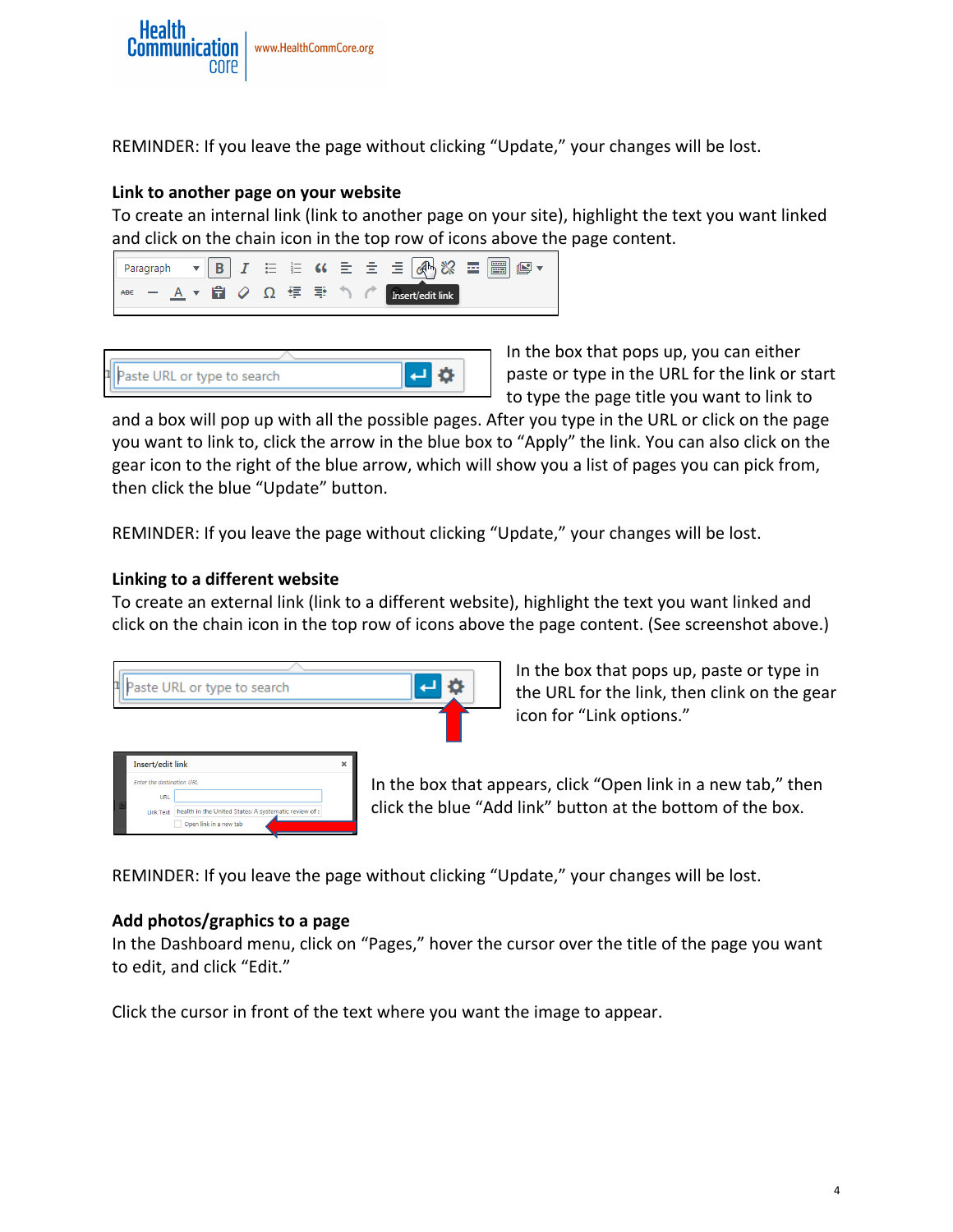

REMINDER: If you leave the page without clicking "Update," your changes will be lost.

#### **Link to another page on your website**

To create an internal link (link to another page on your site), highlight the text you want linked and click on the chain icon in the top row of icons above the page content.



| I Paste URL or type to search |  |
|-------------------------------|--|

In the box that pops up, you can either paste or type in the URL for the link or start to type the page title you want to link to

and a box will pop up with all the possible pages. After you type in the URL or click on the page you want to link to, click the arrow in the blue box to "Apply" the link. You can also click on the gear icon to the right of the blue arrow, which will show you a list of pages you can pick from, then click the blue "Update" button.

REMINDER: If you leave the page without clicking "Update," your changes will be lost.

#### **Linking to a different website**

To create an external link (link to a different website), highlight the text you want linked and click on the chain icon in the top row of icons above the page content. (See screenshot above.)

|                                                                                 | Paste URL or type to search                                                                                |                                        |
|---------------------------------------------------------------------------------|------------------------------------------------------------------------------------------------------------|----------------------------------------|
|                                                                                 |                                                                                                            |                                        |
| Insert/edit link<br>Enter the destination URL<br><b>URL</b><br><b>Link Text</b> | $\overline{\mathbf{x}}$<br>health in the United States: A systematic review of s<br>Open link in a new tab | In the box that a<br>click the blue "A |

In the box that pops up, paste or type in the URL for the link, then clink on the gear icon for "Link options."

Ippears, click "Open link in a new tab," then dd link" button at the bottom of the box.

REMINDER: If you leave the page without clicking "Update," your changes will be lost.

#### Add photos/graphics to a page

In the Dashboard menu, click on "Pages," hover the cursor over the title of the page you want to edit, and click "Edit."

Click the cursor in front of the text where you want the image to appear.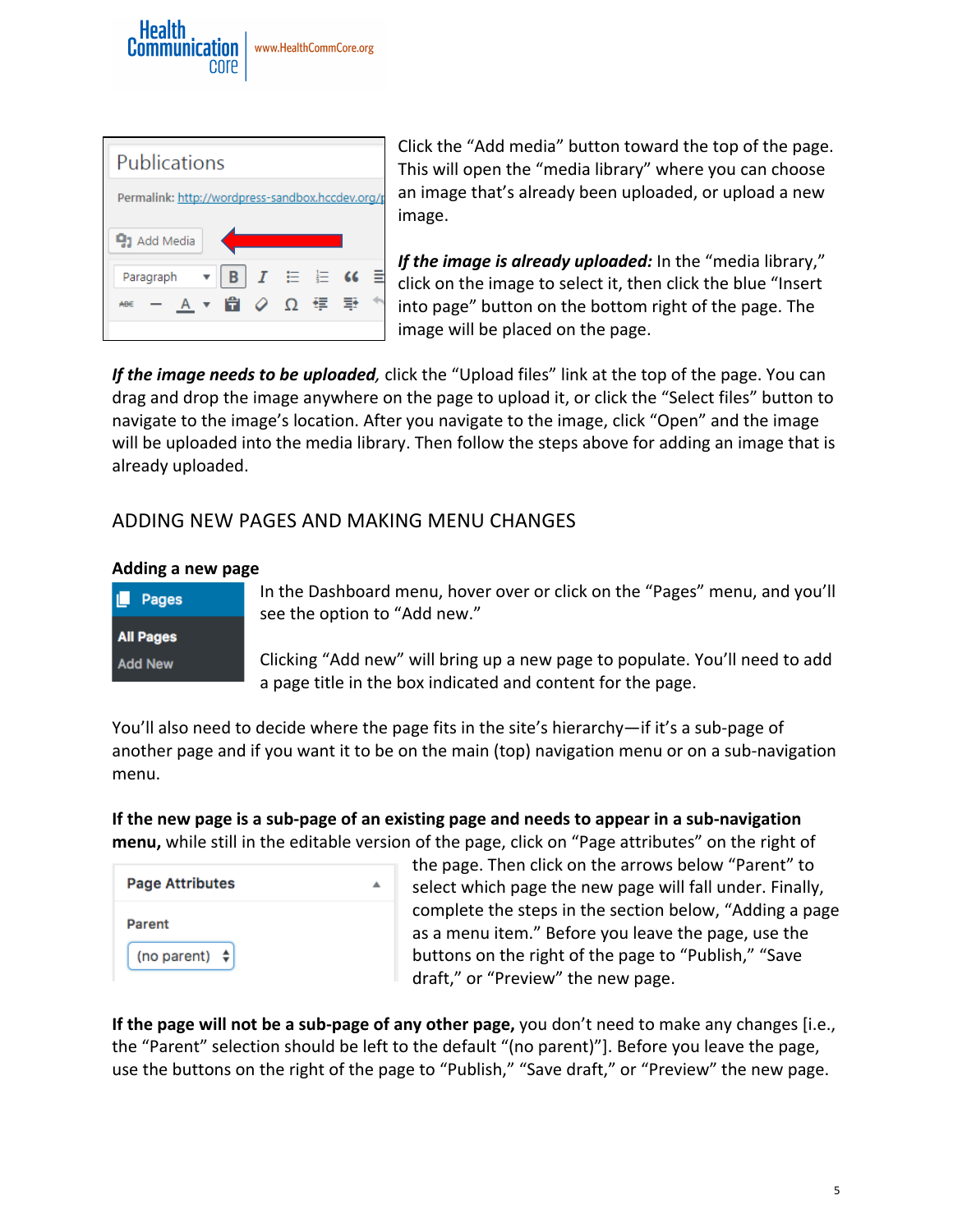



Click the "Add media" button toward the top of the page. This will open the "media library" where you can choose an image that's already been uploaded, or upload a new image.

*If the image is already uploaded:* In the "media library," click on the image to select it, then click the blue "Insert into page" button on the bottom right of the page. The image will be placed on the page.

**If the image needs to be uploaded**, click the "Upload files" link at the top of the page. You can drag and drop the image anywhere on the page to upload it, or click the "Select files" button to navigate to the image's location. After you navigate to the image, click "Open" and the image will be uploaded into the media library. Then follow the steps above for adding an image that is already uploaded.

# ADDING NEW PAGES AND MAKING MENU CHANGES

#### **Adding a new page**

| <b>Pages</b>     |
|------------------|
| <b>All Pages</b> |
| <b>Add New</b>   |

In the Dashboard menu, hover over or click on the "Pages" menu, and you'll see the option to "Add new."

Clicking "Add new" will bring up a new page to populate. You'll need to add a page title in the box indicated and content for the page.

You'll also need to decide where the page fits in the site's hierarchy—if it's a sub-page of another page and if you want it to be on the main (top) navigation menu or on a sub-navigation menu.

**If the new page is a sub-page of an existing page and needs to appear in a sub-navigation menu,** while still in the editable version of the page, click on "Page attributes" on the right of

| <b>Page Attributes</b> |  |
|------------------------|--|
| Parent                 |  |
| (no parent) $\phi$     |  |

the page. Then click on the arrows below "Parent" to select which page the new page will fall under. Finally, complete the steps in the section below, "Adding a page as a menu item." Before you leave the page, use the buttons on the right of the page to "Publish," "Save draft," or "Preview" the new page.

**If the page will not be a sub-page of any other page,** you don't need to make any changes [i.e., the "Parent" selection should be left to the default "(no parent)"]. Before you leave the page, use the buttons on the right of the page to "Publish," "Save draft," or "Preview" the new page.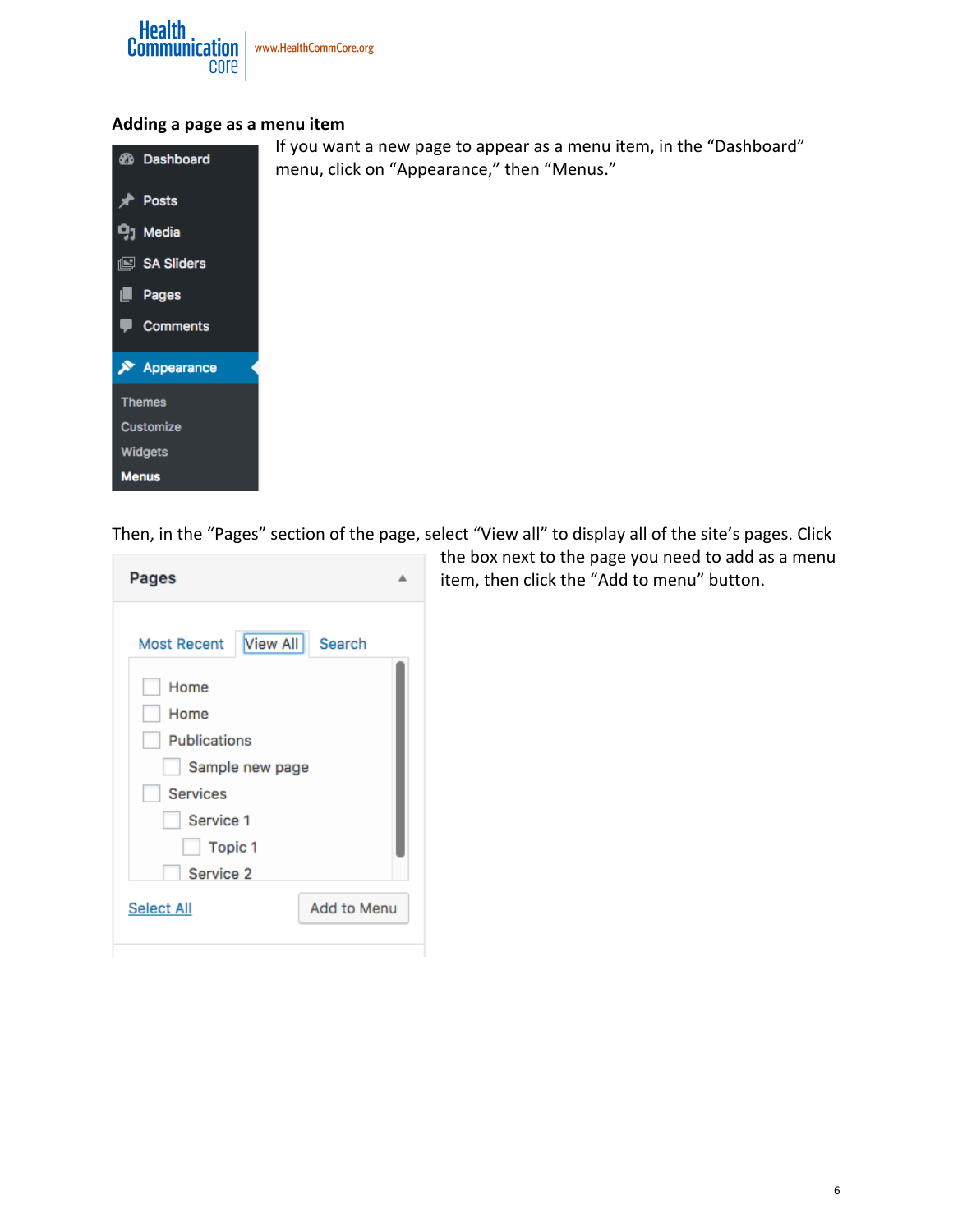

#### Adding a page as a menu item



Then, in the "Pages" section of the page, select "View all" to display all of the site's pages. Click

| Pages                              |                    |  |
|------------------------------------|--------------------|--|
| Most Recent   View All<br>Home     | Search             |  |
| Home<br><b>Publications</b>        |                    |  |
| Sample new page<br><b>Services</b> |                    |  |
| Service 1<br>Topic 1               |                    |  |
| Service 2<br><b>Select All</b>     | <b>Add to Menu</b> |  |
|                                    |                    |  |

the box next to the page you need to add as a menu item, then click the "Add to menu" button.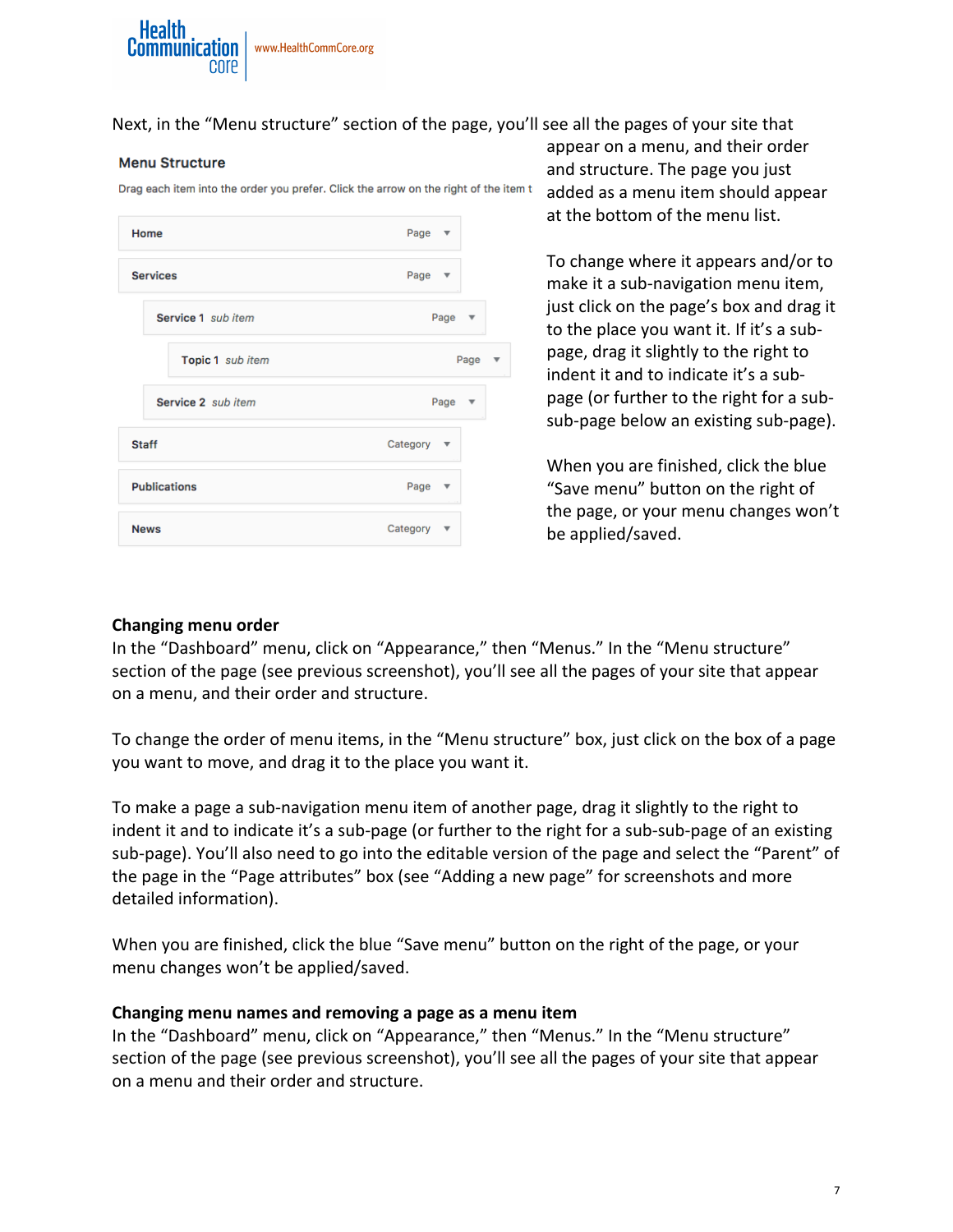

Next, in the "Menu structure" section of the page, you'll see all the pages of your site that

#### **Menu Structure**

Drag each item into the order you prefer. Click the arrow on the right of the item t-

| Home                | Page $\overline{\mathbf{v}}$   |
|---------------------|--------------------------------|
| <b>Services</b>     | Page $\overline{v}$            |
| Service 1 sub item  | Page<br>$\overline{\mathbf v}$ |
| Topic 1 sub item    | Page<br>ľ                      |
| Service 2 sub item  | Page<br>$\overline{\mathbf v}$ |
| <b>Staff</b>        | Category ▼                     |
| <b>Publications</b> | Page<br>▼                      |
| <b>News</b>         | Category<br>▼                  |

appear on a menu, and their order and structure. The page you just added as a menu item should appear at the bottom of the menu list.

To change where it appears and/or to make it a sub-navigation menu item, just click on the page's box and drag it to the place you want it. If it's a subpage, drag it slightly to the right to indent it and to indicate it's a subpage (or further to the right for a subsub-page below an existing sub-page).

When you are finished, click the blue "Save menu" button on the right of the page, or your menu changes won't be applied/saved.

#### **Changing menu order**

In the "Dashboard" menu, click on "Appearance," then "Menus." In the "Menu structure" section of the page (see previous screenshot), you'll see all the pages of your site that appear on a menu, and their order and structure.

To change the order of menu items, in the "Menu structure" box, just click on the box of a page you want to move, and drag it to the place you want it.

To make a page a sub-navigation menu item of another page, drag it slightly to the right to indent it and to indicate it's a sub-page (or further to the right for a sub-sub-page of an existing sub-page). You'll also need to go into the editable version of the page and select the "Parent" of the page in the "Page attributes" box (see "Adding a new page" for screenshots and more detailed information).

When you are finished, click the blue "Save menu" button on the right of the page, or your menu changes won't be applied/saved.

#### **Changing menu names and removing a page as a menu item**

In the "Dashboard" menu, click on "Appearance," then "Menus." In the "Menu structure" section of the page (see previous screenshot), you'll see all the pages of your site that appear on a menu and their order and structure.